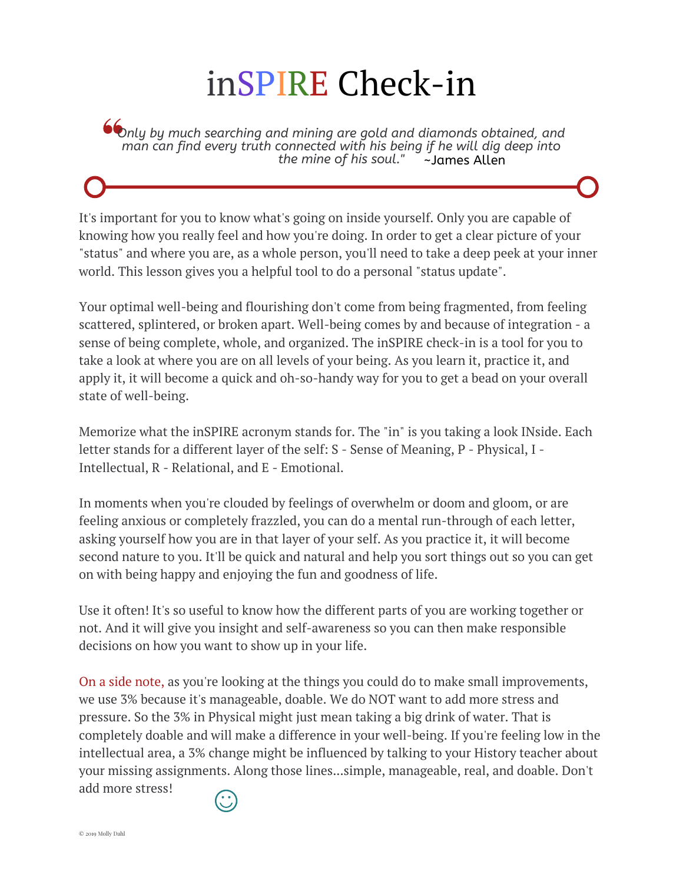## inSPIRE Check-in

*Only by much searching and mining are gold and diamonds obtained, and man can find every truth connected with his being if he will dig deep into the mine of his soul."* 

It's important for you to know what's going on inside yourself. Only you are capable of knowing how you really feel and how you're doing. In order to get a clear picture of your "status" and where you are, as a whole person, you'll need to take a deep peek at your inner world. This lesson gives you a helpful tool to do a personal "status update".

Your optimal well-being and flourishing don't come from being fragmented, from feeling scattered, splintered, or broken apart. Well-being comes by and because of integration - a sense of being complete, whole, and organized. The inSPIRE check-in is a tool for you to take a look at where you are on all levels of your being. As you learn it, practice it, and apply it, it will become a quick and oh-so-handy way for you to get a bead on your overall state of well-being.

Memorize what the inSPIRE acronym stands for. The "in" is you taking a look INside. Each letter stands for a different layer of the self: S - Sense of Meaning, P - Physical, I - Intellectual, R - Relational, and E - Emotional.

In moments when you're clouded by feelings of overwhelm or doom and gloom, or are feeling anxious or completely frazzled, you can do a mental run-through of each letter, asking yourself how you are in that layer of your self. As you practice it, it will become second nature to you. It'll be quick and natural and help you sort things out so you can get on with being happy and enjoying the fun and goodness of life.

Use it often! It's so useful to know how the different parts of you are working together or not. And it will give you insight and self-awareness so you can then make responsible decisions on how you want to show up in your life.

On a side note, as you're looking at the things you could do to make small improvements, we use 3% because it's manageable, doable. We do NOT want to add more stress and pressure. So the 3% in Physical might just mean taking a big drink of water. That is completely doable and will make a difference in your well-being. If you're feeling low in the intellectual area, a 3% change might be influenced by talking to your History teacher about your missing assignments. Along those lines...simple, manageable, real, and doable. Don't add more stress!